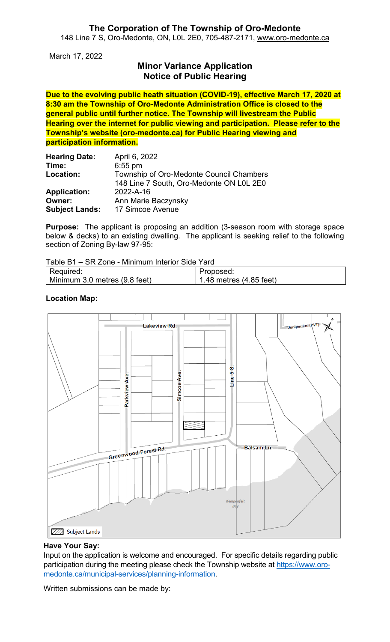### **The Corporation of The Township of Oro-Medonte** 148 Line 7 S, Oro-Medonte, ON, L0L 2E0, 705-487-2171, [www.oro-medonte.ca](http://www.oro-medonte.ca/)

March 17, 2022

# **Minor Variance Application Notice of Public Hearing**

**Due to the evolving public heath situation (COVID-19), effective March 17, 2020 at 8:30 am the Township of Oro-Medonte Administration Office is closed to the general public until further notice. The Township will livestream the Public Hearing over the internet for public viewing and participation. Please refer to the Township's website (oro-medonte.ca) for Public Hearing viewing and participation information.**

| <b>Hearing Date:</b>  | April 6, 2022                            |
|-----------------------|------------------------------------------|
| Time:                 | $6:55$ pm                                |
| Location:             | Township of Oro-Medonte Council Chambers |
|                       | 148 Line 7 South, Oro-Medonte ON L0L 2E0 |
| <b>Application:</b>   | 2022-A-16                                |
| Owner:                | Ann Marie Baczynsky                      |
| <b>Subject Lands:</b> | 17 Simcoe Avenue                         |

**Purpose:** The applicant is proposing an addition (3-season room with storage space below & decks) to an existing dwelling. The applicant is seeking relief to the following section of Zoning By-law 97-95:

| Table B1 – SR Zone - Minimum Interior Side Yard |                               |  |
|-------------------------------------------------|-------------------------------|--|
| Required:                                       | Proposed:                     |  |
| Minimum 3.0 metres (9.8 feet)                   | $\pm$ 1.48 metres (4.85 feet) |  |

#### **Location Map:**



## **Have Your Say:**

Input on the application is welcome and encouraged. For specific details regarding public participation during the meeting please check the Township website at [https://www.oro](https://www.oro-medonte.ca/municipal-services/planning-information)[medonte.ca/municipal-services/planning-information.](https://www.oro-medonte.ca/municipal-services/planning-information)

Written submissions can be made by: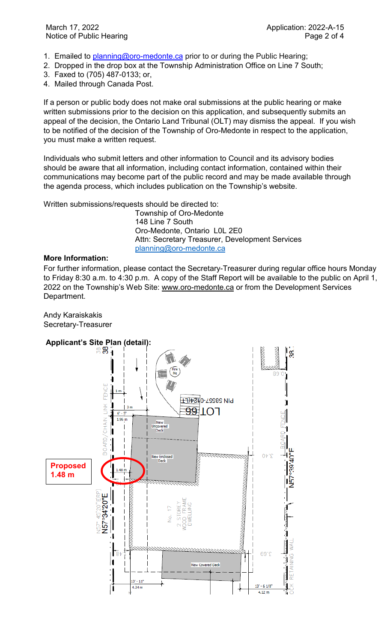- 1. Emailed to [planning@oro-medonte.ca](mailto:planning@oro-medonte.ca) prior to or during the Public Hearing;
- 2. Dropped in the drop box at the Township Administration Office on Line 7 South;
- 3. Faxed to (705) 487-0133; or,
- 4. Mailed through Canada Post.

If a person or public body does not make oral submissions at the public hearing or make written submissions prior to the decision on this application, and subsequently submits an appeal of the decision, the Ontario Land Tribunal (OLT) may dismiss the appeal. If you wish to be notified of the decision of the Township of Oro-Medonte in respect to the application, you must make a written request.

Individuals who submit letters and other information to Council and its advisory bodies should be aware that all information, including contact information, contained within their communications may become part of the public record and may be made available through the agenda process, which includes publication on the Township's website.

Written submissions/requests should be directed to:

Township of Oro-Medonte 148 Line 7 South Oro-Medonte, Ontario L0L 2E0 Attn: Secretary Treasurer, Development Services [planning@oro-medonte.ca](mailto:planning@oro-medonte.ca)

# **More Information:**

For further information, please contact the Secretary-Treasurer during regular office hours Monday to Friday 8:30 a.m. to 4:30 p.m. A copy of the Staff Report will be available to the public on April 1, 2022 on the Township's Web Site: [www.oro-medonte.ca](http://www.oro-medonte.ca/) or from the Development Services Department.

Andy Karaiskakis Secretary-Treasurer



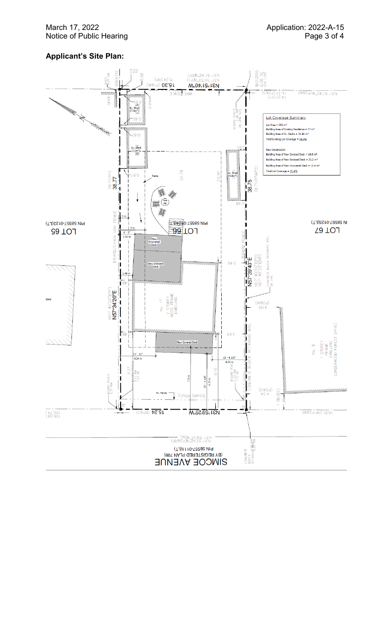#### March 17, 2022 Notice of Public Hearing

# **Applicant 's Site Plan :**